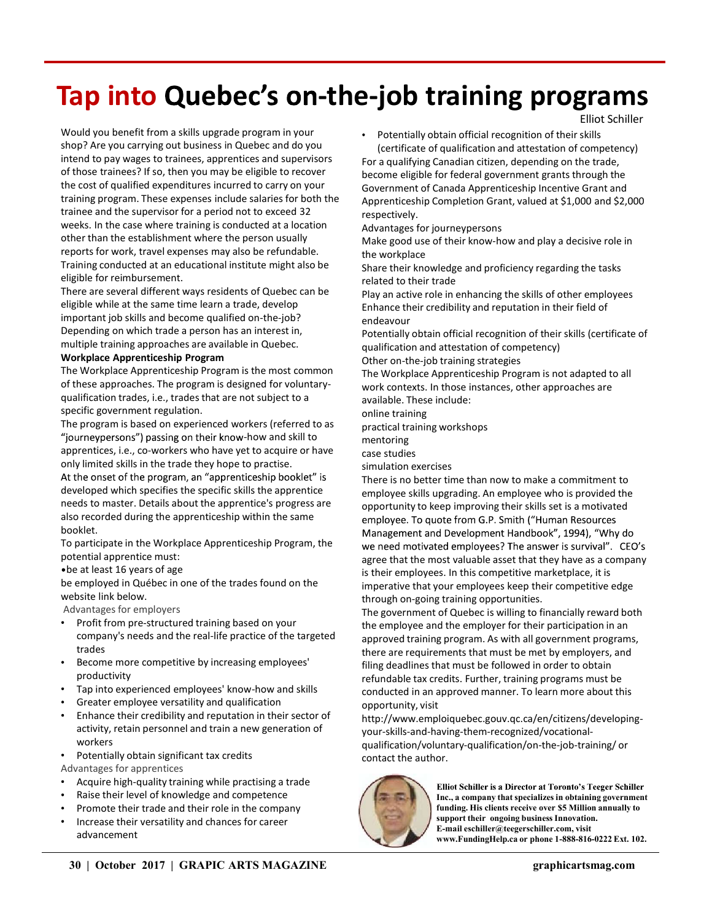# Tap into Quebec's on-the-job training programs

Would you benefit from a skills upgrade program in your shop? Are you carrying out business in Quebec and do you intend to pay wages to trainees, apprentices and supervisors of those trainees? If so, then you may be eligible to recover the cost of qualified expenditures incurred to carry on your training program. These expenses include salaries for both the trainee and the supervisor for a period not to exceed 32 weeks. In the case where training is conducted at a location other than the establishment where the person usually reports for work, travel expenses may also be refundable. Training conducted at an educational institute might also be eligible for reimbursement.

There are several different ways residents of Quebec can be eligible while at the same time learn a trade, develop important job skills and become qualified on-the-job? Depending on which trade a person has an interest in, multiple training approaches are available in Quebec.

#### Workplace Apprenticeship Program

The Workplace Apprenticeship Program is the most common of these approaches. The program is designed for voluntaryqualification trades, i.e., trades that are not subject to a specific government regulation.

The program is based on experienced workers (referred to as "journeypersons") passing on their know-how and skill to apprentices, i.e., co-workers who have yet to acquire or have only limited skills in the trade they hope to practise.

At the onset of the program, an "apprenticeship booklet" is developed which specifies the specific skills the apprentice needs to master. Details about the apprentice's progress are also recorded during the apprenticeship within the same employee. To quote from G.P. Smith ("Human Resources booklet.

potential apprentice must:

be at least 16 years of age

be employed in Québec in one of the trades found on the website link below.

Advantages for employers

- Profit from pre-structured training based on your company's needs and the real-life practice of the targeted trades
- Become more competitive by increasing employees' productivity
- Tap into experienced employees' know-how and skills
- Greater employee versatility and qualification
- Enhance their credibility and reputation in their sector of activity, retain personnel and train a new generation of workers
- Potentially obtain significant tax credits

Advantages for apprentices

- Acquire high-quality training while practising a trade<br>
Elliot Schiller is a Director at Toronto's Teeger Schiller
- Raise their level of knowledge and competence
- Promote their trade and their role in the company
- Increase their versatility and chances for career advancement

Potentially obtain official recognition of their skills (certificate of qualification and attestation of competency) For a qualifying Canadian citizen, depending on the trade, become eligible for federal government grants through the Government of Canada Apprenticeship Incentive Grant and Apprenticeship Completion Grant, valued at \$1,000 and \$2,000 respectively.

Elliot Schiller

Advantages for journeypersons

Make good use of their know-how and play a decisive role in the workplace

Share their knowledge and proficiency regarding the tasks related to their trade

Play an active role in enhancing the skills of other employees Enhance their credibility and reputation in their field of endeavour

Potentially obtain official recognition of their skills (certificate of qualification and attestation of competency)

Other on-the-job training strategies

The Workplace Apprenticeship Program is not adapted to all work contexts. In those instances, other approaches are available. These include:

online training

practical training workshops

mentoring

case studies

simulation exercises

There is no better time than now to make a commitment to employee skills upgrading. An employee who is provided the opportunity to keep improving their skills set is a motivated Management and Development Handbook", 1994), "Why do To participate in the Workplace Apprenticeship Program, the we need motivated employees? The answer is survival". CEO's agree that the most valuable asset that they have as a company is their employees. In this competitive marketplace, it is imperative that your employees keep their competitive edge through on-going training opportunities.

> The government of Quebec is willing to financially reward both the employee and the employer for their participation in an approved training program. As with all government programs, there are requirements that must be met by employers, and filing deadlines that must be followed in order to obtain refundable tax credits. Further, training programs must be conducted in an approved manner. To learn more about this opportunity, visit

> http://www.emploiquebec.gouv.qc.ca/en/citizens/developingyour-skills-and-having-them-recognized/vocationalqualification/voluntary-qualification/on-the-job-training/ or contact the author.



Inc., a company that specializes in obtaining government funding. His clients receive over \$5 Million annually to support their ongoing business Innovation. E-mail eschiller@teegerschiller.com, visit www.FundingHelp.ca or phone 1-888-816-0222 Ext. 102.